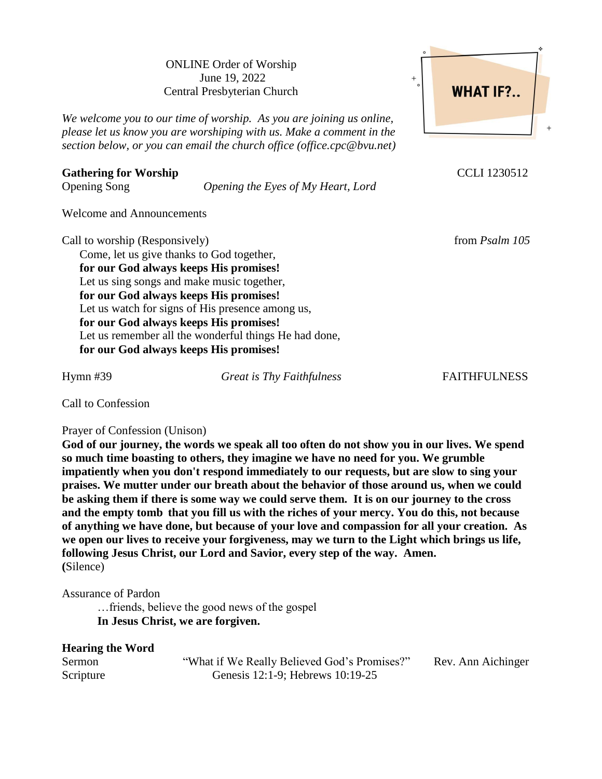ONLINE Order of Worship June 19, 2022 Central Presbyterian Church

*We welcome you to our time of worship. As you are joining us online, please let us know you are worshiping with us. Make a comment in the section below, or you can email the church office (office.cpc@bvu.net)*

## Gathering for Worship **CCLI** 1230512

Opening Song *Opening the Eyes of My Heart, Lord*

Welcome and Announcements

Call to worship (Responsively) *Call* to worship (Responsively) *from Psalm 105* 

Come, let us give thanks to God together, **for our God always keeps His promises!** Let us sing songs and make music together, **for our God always keeps His promises!** Let us watch for signs of His presence among us, **for our God always keeps His promises!** Let us remember all the wonderful things He had done, **for our God always keeps His promises!**

Hymn #39 *Great is Thy Faithfulness* FAITHFULNESS

Call to Confession

Prayer of Confession (Unison)

**God of our journey, the words we speak all too often do not show you in our lives. We spend so much time boasting to others, they imagine we have no need for you. We grumble impatiently when you don't respond immediately to our requests, but are slow to sing your praises. We mutter under our breath about the behavior of those around us, when we could be asking them if there is some way we could serve them. It is on our journey to the cross and the empty tomb that you fill us with the riches of your mercy. You do this, not because of anything we have done, but because of your love and compassion for all your creation. As we open our lives to receive your forgiveness, may we turn to the Light which brings us life, following Jesus Christ, our Lord and Savior, every step of the way. Amen. (**Silence)

Assurance of Pardon

…friends, believe the good news of the gospel **In Jesus Christ, we are forgiven.**

| <b>Hearing the Word</b> |                                              |                    |
|-------------------------|----------------------------------------------|--------------------|
| Sermon                  | "What if We Really Believed God's Promises?" | Rev. Ann Aichinger |
| Scripture               | Genesis 12:1-9; Hebrews 10:19-25             |                    |

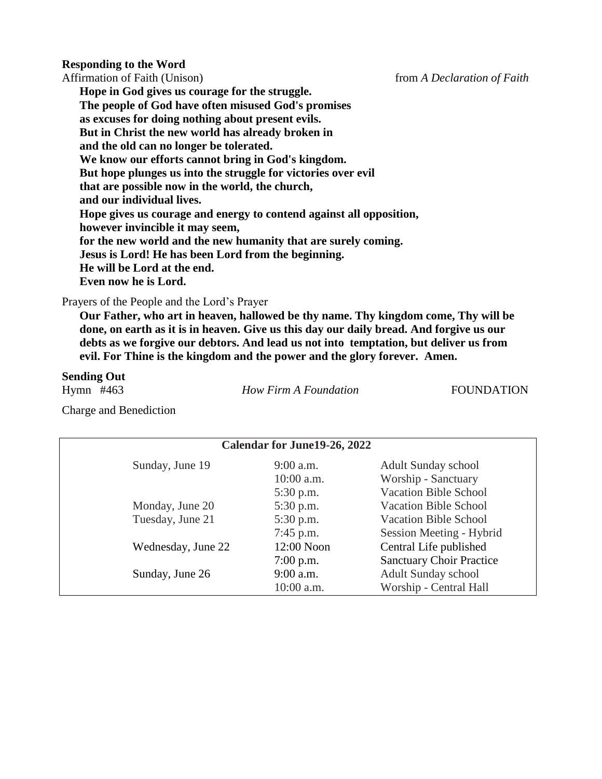#### **Responding to the Word**

Affirmation of Faith (Unison) from *A Declaration of Faith* 

**Hope in God gives us courage for the struggle. The people of God have often misused God's promises as excuses for doing nothing about present evils. But in Christ the new world has already broken in and the old can no longer be tolerated. We know our efforts cannot bring in God's kingdom. But hope plunges us into the struggle for victories over evil that are possible now in the world, the church, and our individual lives. Hope gives us courage and energy to contend against all opposition, however invincible it may seem, for the new world and the new humanity that are surely coming. Jesus is Lord! He has been Lord from the beginning. He will be Lord at the end. Even now he is Lord.**

Prayers of the People and the Lord's Prayer

**Our Father, who art in heaven, hallowed be thy name. Thy kingdom come, Thy will be done, on earth as it is in heaven. Give us this day our daily bread. And forgive us our debts as we forgive our debtors. And lead us not into temptation, but deliver us from evil. For Thine is the kingdom and the power and the glory forever. Amen.**

#### **Sending Out**

Hymn #463 *How Firm A Foundation* FOUNDATION

Charge and Benediction

|                    | <b>Calendar for June19-26, 2022</b> |                                 |
|--------------------|-------------------------------------|---------------------------------|
| Sunday, June 19    | $9:00$ a.m.                         | <b>Adult Sunday school</b>      |
|                    | $10:00$ a.m.                        | Worship - Sanctuary             |
|                    | $5:30$ p.m.                         | <b>Vacation Bible School</b>    |
| Monday, June 20    | 5:30 p.m.                           | <b>Vacation Bible School</b>    |
| Tuesday, June 21   | 5:30 p.m.                           | <b>Vacation Bible School</b>    |
|                    | $7:45$ p.m.                         | Session Meeting - Hybrid        |
| Wednesday, June 22 | 12:00 Noon                          | Central Life published          |
|                    | $7:00$ p.m.                         | <b>Sanctuary Choir Practice</b> |
| Sunday, June 26    | $9:00$ a.m.                         | <b>Adult Sunday school</b>      |
|                    | 10:00 a.m.                          | Worship - Central Hall          |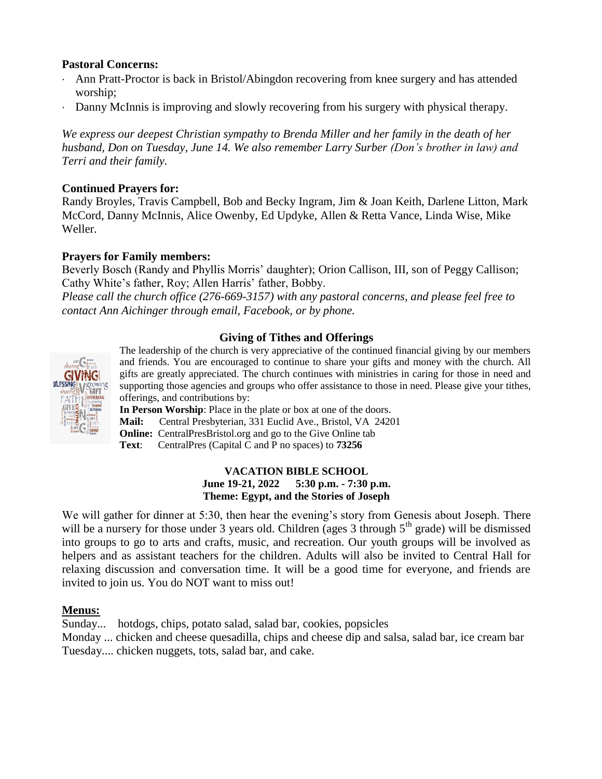# **Pastoral Concerns:**

- Ann Pratt-Proctor is back in Bristol/Abingdon recovering from knee surgery and has attended worship;
- Danny McInnis is improving and slowly recovering from his surgery with physical therapy.

*We express our deepest Christian sympathy to Brenda Miller and her family in the death of her husband, Don on Tuesday, June 14. We also remember Larry Surber (Don's brother in law) and Terri and their family.*

## **Continued Prayers for:**

Randy Broyles, Travis Campbell, Bob and Becky Ingram, Jim & Joan Keith, Darlene Litton, Mark McCord, Danny McInnis, Alice Owenby, Ed Updyke, Allen & Retta Vance, Linda Wise, Mike Weller.

### **Prayers for Family members:**

Beverly Bosch (Randy and Phyllis Morris' daughter); Orion Callison, III, son of Peggy Callison; Cathy White's father, Roy; Allen Harris' father, Bobby.

*Please call the church office (276-669-3157) with any pastoral concerns, and please feel free to contact Ann Aichinger through email, Facebook, or by phone.*

### **Giving of Tithes and Offerings**



The leadership of the church is very appreciative of the continued financial giving by our members and friends. You are encouraged to continue to share your gifts and money with the church. All gifts are greatly appreciated. The church continues with ministries in caring for those in need and supporting those agencies and groups who offer assistance to those in need. Please give your tithes, offerings, and contributions by:

**In Person Worship**: Place in the plate or box at one of the doors.

**Mail:** Central Presbyterian, 331 Euclid Ave., Bristol, VA 24201

**Online:** CentralPresBristol.org and go to the Give Online tab

**Text**: CentralPres (Capital C and P no spaces) to **73256**

#### **VACATION BIBLE SCHOOL June 19-21, 2022 5:30 p.m. - 7:30 p.m. Theme: Egypt, and the Stories of Joseph**

We will gather for dinner at 5:30, then hear the evening's story from Genesis about Joseph. There will be a nursery for those under 3 years old. Children (ages 3 through  $5<sup>th</sup>$  grade) will be dismissed into groups to go to arts and crafts, music, and recreation. Our youth groups will be involved as helpers and as assistant teachers for the children. Adults will also be invited to Central Hall for relaxing discussion and conversation time. It will be a good time for everyone, and friends are invited to join us. You do NOT want to miss out!

# **Menus:**

Sunday... hotdogs, chips, potato salad, salad bar, cookies, popsicles

Monday ... chicken and cheese quesadilla, chips and cheese dip and salsa, salad bar, ice cream bar Tuesday.... chicken nuggets, tots, salad bar, and cake.